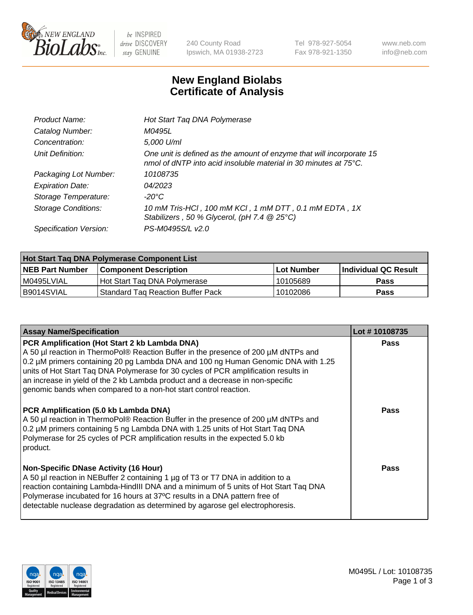

 $be$  INSPIRED drive DISCOVERY stay GENUINE

240 County Road Ipswich, MA 01938-2723 Tel 978-927-5054 Fax 978-921-1350 www.neb.com info@neb.com

## **New England Biolabs Certificate of Analysis**

| Hot Start Taq DNA Polymerase                                                                                                                       |
|----------------------------------------------------------------------------------------------------------------------------------------------------|
| M0495L                                                                                                                                             |
| 5,000 U/ml                                                                                                                                         |
| One unit is defined as the amount of enzyme that will incorporate 15<br>nmol of dNTP into acid insoluble material in 30 minutes at $75^{\circ}$ C. |
| 10108735                                                                                                                                           |
| 04/2023                                                                                                                                            |
| $-20^{\circ}$ C                                                                                                                                    |
| 10 mM Tris-HCl, 100 mM KCl, 1 mM DTT, 0.1 mM EDTA, 1X<br>Stabilizers, 50 % Glycerol, (pH 7.4 $@25°C$ )                                             |
| PS-M0495S/L v2.0                                                                                                                                   |
|                                                                                                                                                    |

| <b>Hot Start Tag DNA Polymerase Component List</b> |                                          |                   |                      |  |  |
|----------------------------------------------------|------------------------------------------|-------------------|----------------------|--|--|
| <b>NEB Part Number</b>                             | <b>Component Description</b>             | <b>Lot Number</b> | Individual QC Result |  |  |
| I M0495LVIAL                                       | Hot Start Tag DNA Polymerase             | 10105689          | <b>Pass</b>          |  |  |
| B9014SVIAL                                         | <b>Standard Tag Reaction Buffer Pack</b> | 10102086          | Pass                 |  |  |

| <b>Assay Name/Specification</b>                                                                                                                                                                                                                                                                                                                                                                                                                                       | Lot #10108735 |
|-----------------------------------------------------------------------------------------------------------------------------------------------------------------------------------------------------------------------------------------------------------------------------------------------------------------------------------------------------------------------------------------------------------------------------------------------------------------------|---------------|
| PCR Amplification (Hot Start 2 kb Lambda DNA)<br>A 50 µl reaction in ThermoPol® Reaction Buffer in the presence of 200 µM dNTPs and<br>0.2 µM primers containing 20 pg Lambda DNA and 100 ng Human Genomic DNA with 1.25<br>units of Hot Start Taq DNA Polymerase for 30 cycles of PCR amplification results in<br>an increase in yield of the 2 kb Lambda product and a decrease in non-specific<br>genomic bands when compared to a non-hot start control reaction. | Pass          |
| PCR Amplification (5.0 kb Lambda DNA)<br>A 50 µl reaction in ThermoPol® Reaction Buffer in the presence of 200 µM dNTPs and<br>0.2 µM primers containing 5 ng Lambda DNA with 1.25 units of Hot Start Taq DNA<br>Polymerase for 25 cycles of PCR amplification results in the expected 5.0 kb<br>product.                                                                                                                                                             | <b>Pass</b>   |
| <b>Non-Specific DNase Activity (16 Hour)</b><br>A 50 µl reaction in NEBuffer 2 containing 1 µg of T3 or T7 DNA in addition to a<br>reaction containing Lambda-HindIII DNA and a minimum of 5 units of Hot Start Taq DNA<br>Polymerase incubated for 16 hours at 37°C results in a DNA pattern free of<br>detectable nuclease degradation as determined by agarose gel electrophoresis.                                                                                | <b>Pass</b>   |

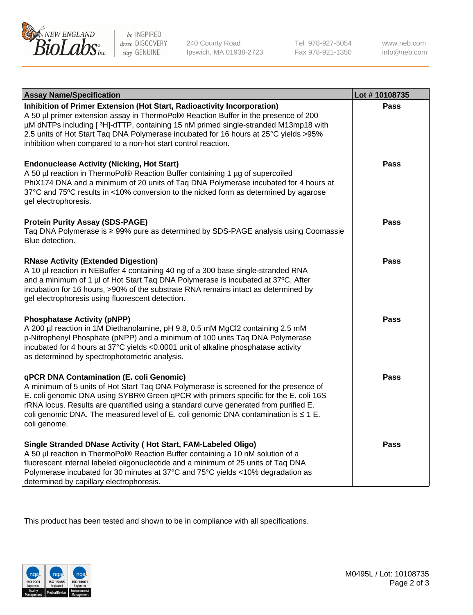

be INSPIRED drive DISCOVERY stay GENUINE

240 County Road Ipswich, MA 01938-2723 Tel 978-927-5054 Fax 978-921-1350 www.neb.com info@neb.com

| <b>Assay Name/Specification</b>                                                                                                                                                                                                                                                                                                                                                                                              | Lot #10108735 |
|------------------------------------------------------------------------------------------------------------------------------------------------------------------------------------------------------------------------------------------------------------------------------------------------------------------------------------------------------------------------------------------------------------------------------|---------------|
| Inhibition of Primer Extension (Hot Start, Radioactivity Incorporation)<br>A 50 µl primer extension assay in ThermoPol® Reaction Buffer in the presence of 200<br>µM dNTPs including [3H]-dTTP, containing 15 nM primed single-stranded M13mp18 with<br>2.5 units of Hot Start Taq DNA Polymerase incubated for 16 hours at 25°C yields > 95%<br>inhibition when compared to a non-hot start control reaction.               | <b>Pass</b>   |
| <b>Endonuclease Activity (Nicking, Hot Start)</b><br>A 50 µl reaction in ThermoPol® Reaction Buffer containing 1 µg of supercoiled<br>PhiX174 DNA and a minimum of 20 units of Taq DNA Polymerase incubated for 4 hours at<br>37°C and 75°C results in <10% conversion to the nicked form as determined by agarose<br>gel electrophoresis.                                                                                   | <b>Pass</b>   |
| <b>Protein Purity Assay (SDS-PAGE)</b><br>Taq DNA Polymerase is ≥ 99% pure as determined by SDS-PAGE analysis using Coomassie<br>Blue detection.                                                                                                                                                                                                                                                                             | <b>Pass</b>   |
| <b>RNase Activity (Extended Digestion)</b><br>A 10 µl reaction in NEBuffer 4 containing 40 ng of a 300 base single-stranded RNA<br>and a minimum of 1 µl of Hot Start Taq DNA Polymerase is incubated at 37°C. After<br>incubation for 16 hours, >90% of the substrate RNA remains intact as determined by<br>gel electrophoresis using fluorescent detection.                                                               | <b>Pass</b>   |
| <b>Phosphatase Activity (pNPP)</b><br>A 200 µl reaction in 1M Diethanolamine, pH 9.8, 0.5 mM MgCl2 containing 2.5 mM<br>p-Nitrophenyl Phosphate (pNPP) and a minimum of 100 units Taq DNA Polymerase<br>incubated for 4 hours at 37°C yields <0.0001 unit of alkaline phosphatase activity<br>as determined by spectrophotometric analysis.                                                                                  | <b>Pass</b>   |
| qPCR DNA Contamination (E. coli Genomic)<br>A minimum of 5 units of Hot Start Taq DNA Polymerase is screened for the presence of<br>E. coli genomic DNA using SYBR® Green qPCR with primers specific for the E. coli 16S<br>rRNA locus. Results are quantified using a standard curve generated from purified E.<br>coli genomic DNA. The measured level of E. coli genomic DNA contamination is $\leq 1$ E.<br>coli genome. | <b>Pass</b>   |
| Single Stranded DNase Activity (Hot Start, FAM-Labeled Oligo)<br>A 50 µl reaction in ThermoPol® Reaction Buffer containing a 10 nM solution of a<br>fluorescent internal labeled oligonucleotide and a minimum of 25 units of Taq DNA<br>Polymerase incubated for 30 minutes at 37°C and 75°C yields <10% degradation as<br>determined by capillary electrophoresis.                                                         | Pass          |

This product has been tested and shown to be in compliance with all specifications.